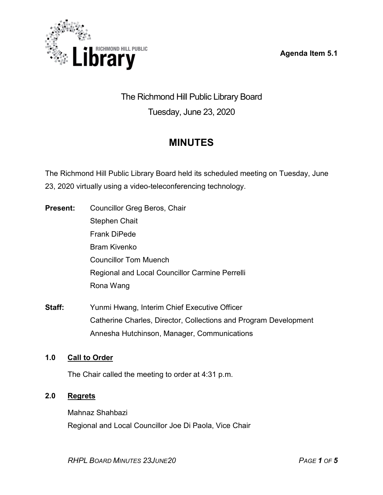Agenda Item 5.1



The Richmond Hill Public Library Board Tuesday, June 23, 2020

# MINUTES

The Richmond Hill Public Library Board held its scheduled meeting on Tuesday, June 23, 2020 virtually using a video-teleconferencing technology.

- Present: Councillor Greg Beros, Chair Stephen Chait Frank DiPede Bram Kivenko Councillor Tom Muench Regional and Local Councillor Carmine Perrelli Rona Wang
- Staff: Yunmi Hwang, Interim Chief Executive Officer Catherine Charles, Director, Collections and Program Development Annesha Hutchinson, Manager, Communications

# 1.0 Call to Order

The Chair called the meeting to order at 4:31 p.m.

## 2.0 Regrets

Mahnaz Shahbazi Regional and Local Councillor Joe Di Paola, Vice Chair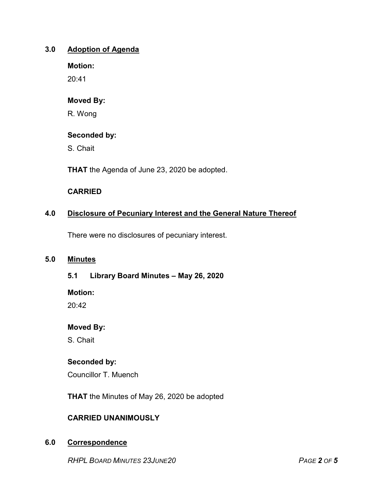## 3.0 Adoption of Agenda

Motion:

20:41

## Moved By:

R. Wong

## Seconded by:

S. Chait

THAT the Agenda of June 23, 2020 be adopted.

## CARRIED

# 4.0 Disclosure of Pecuniary Interest and the General Nature Thereof

There were no disclosures of pecuniary interest.

## 5.0 Minutes

## 5.1 Library Board Minutes – May 26, 2020

Motion:

 $20.42$ 

## Moved By:

S. Chait

# Seconded by:

Councillor T. Muench

THAT the Minutes of May 26, 2020 be adopted

# CARRIED UNANIMOUSLY

## 6.0 Correspondence

RHPL BOARD MINUTES 23JUNE20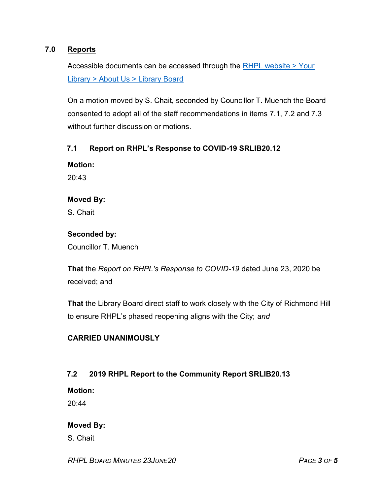## 7.0 Reports

Accessible documents can be accessed through the RHPL website > Your Library > About Us > Library Board

On a motion moved by S. Chait, seconded by Councillor T. Muench the Board consented to adopt all of the staff recommendations in items 7.1, 7.2 and 7.3 without further discussion or motions.

### 7.1 Report on RHPL's Response to COVID-19 SRLIB20.12

#### Motion:

20:43

#### Moved By:

S. Chait

#### Seconded by:

Councillor T. Muench

That the Report on RHPL's Response to COVID-19 dated June 23, 2020 be received; and

That the Library Board direct staff to work closely with the City of Richmond Hill to ensure RHPL's phased reopening aligns with the City; and

## CARRIED UNANIMOUSLY

## 7.2 2019 RHPL Report to the Community Report SRLIB20.13

Motion:

 $20.44$ 

## Moved By:

S. Chait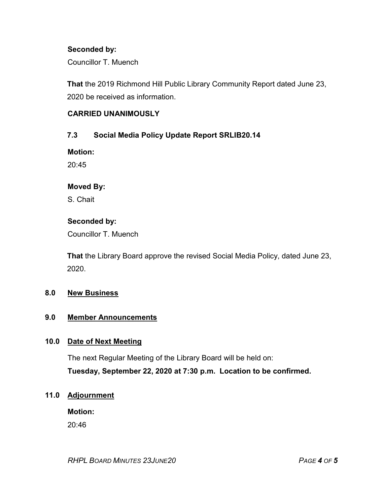## Seconded by:

Councillor T. Muench

That the 2019 Richmond Hill Public Library Community Report dated June 23, 2020 be received as information.

## CARRIED UNANIMOUSLY

## 7.3 Social Media Policy Update Report SRLIB20.14

Motion:

 $20.45$ 

## Moved By:

S. Chait

## Seconded by:

Councillor T. Muench

That the Library Board approve the revised Social Media Policy, dated June 23, 2020.

## 8.0 New Business

#### 9.0 Member Announcements

## 10.0 Date of Next Meeting

The next Regular Meeting of the Library Board will be held on:

Tuesday, September 22, 2020 at 7:30 p.m. Location to be confirmed.

## 11.0 Adjournment

Motion:

20:46